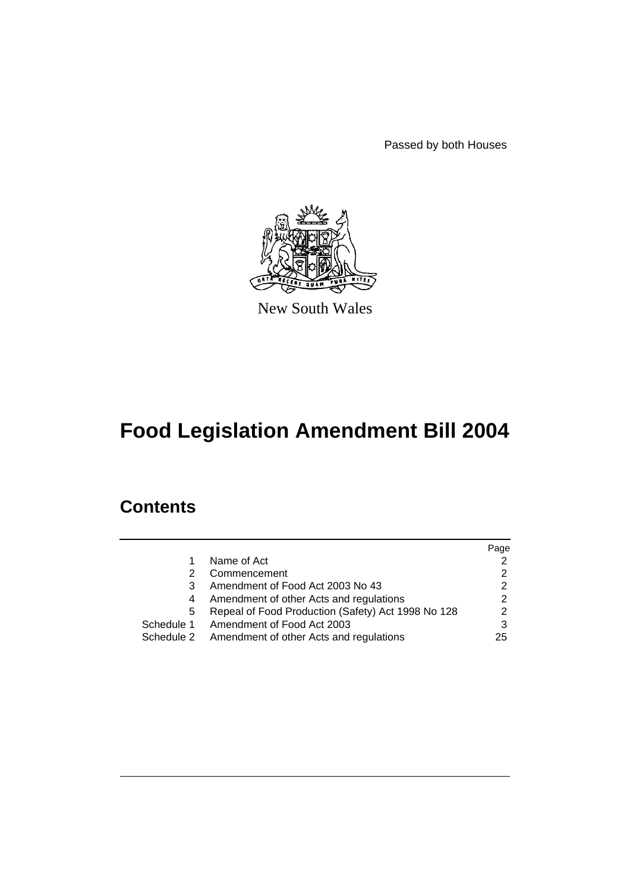Passed by both Houses



New South Wales

# **Food Legislation Amendment Bill 2004**

## **Contents**

|   |                                                    | Page          |
|---|----------------------------------------------------|---------------|
|   | Name of Act                                        |               |
|   | Commencement                                       |               |
| 3 | Amendment of Food Act 2003 No 43                   |               |
| 4 | Amendment of other Acts and regulations            | 2             |
| 5 | Repeal of Food Production (Safety) Act 1998 No 128 | $\mathcal{P}$ |
|   | Schedule 1 Amendment of Food Act 2003              | 3             |
|   | Schedule 2 Amendment of other Acts and regulations | 25            |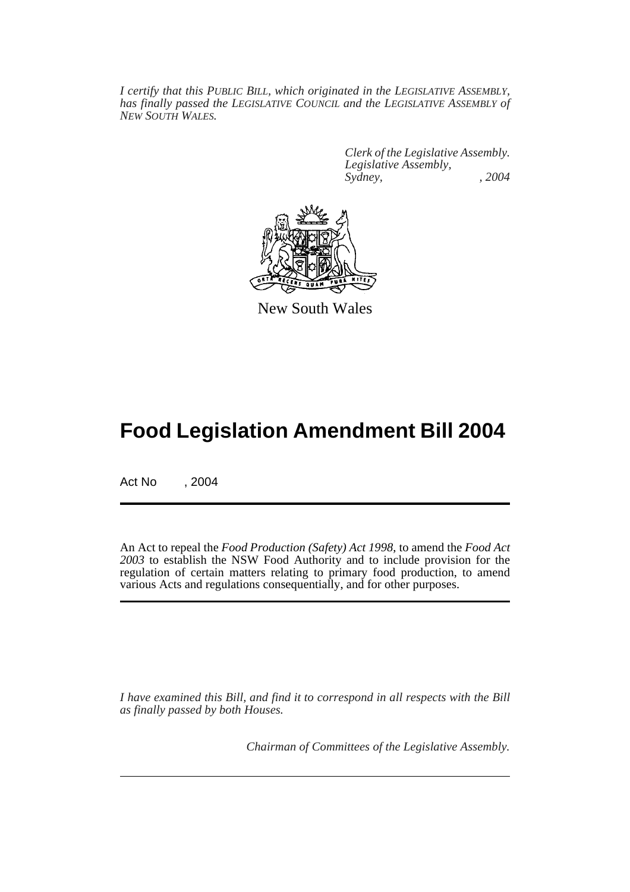*I certify that this PUBLIC BILL, which originated in the LEGISLATIVE ASSEMBLY, has finally passed the LEGISLATIVE COUNCIL and the LEGISLATIVE ASSEMBLY of NEW SOUTH WALES.*

> *Clerk of the Legislative Assembly. Legislative Assembly, Sydney, , 2004*



New South Wales

## **Food Legislation Amendment Bill 2004**

Act No , 2004

An Act to repeal the *Food Production (Safety) Act 1998*, to amend the *Food Act 2003* to establish the NSW Food Authority and to include provision for the regulation of certain matters relating to primary food production, to amend various Acts and regulations consequentially, and for other purposes.

*I have examined this Bill, and find it to correspond in all respects with the Bill as finally passed by both Houses.*

*Chairman of Committees of the Legislative Assembly.*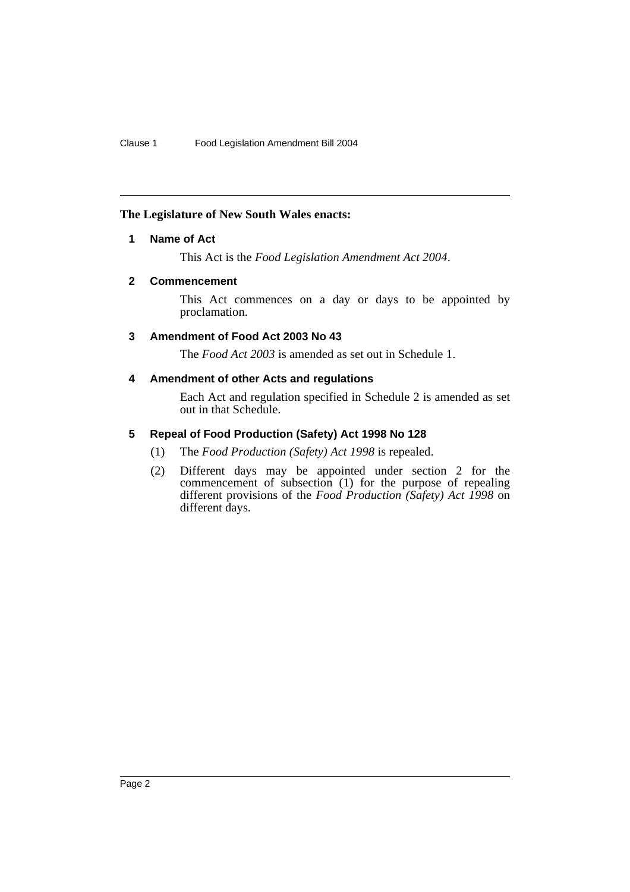#### **The Legislature of New South Wales enacts:**

### **1 Name of Act**

This Act is the *Food Legislation Amendment Act 2004*.

### **2 Commencement**

This Act commences on a day or days to be appointed by proclamation.

### **3 Amendment of Food Act 2003 No 43**

The *Food Act 2003* is amended as set out in Schedule 1.

### **4 Amendment of other Acts and regulations**

Each Act and regulation specified in Schedule 2 is amended as set out in that Schedule.

### **5 Repeal of Food Production (Safety) Act 1998 No 128**

- (1) The *Food Production (Safety) Act 1998* is repealed.
- (2) Different days may be appointed under section 2 for the commencement of subsection (1) for the purpose of repealing different provisions of the *Food Production (Safety) Act 1998* on different days.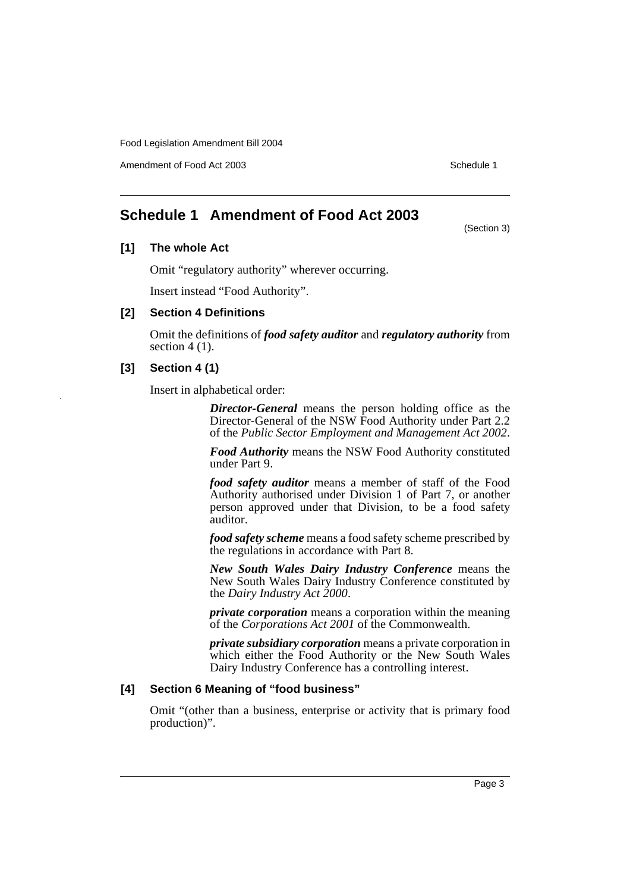Amendment of Food Act 2003 **Schedule 1** and the state of the Schedule 1

(Section 3)

### **Schedule 1 Amendment of Food Act 2003**

### **[1] The whole Act**

Omit "regulatory authority" wherever occurring.

Insert instead "Food Authority".

#### **[2] Section 4 Definitions**

Omit the definitions of *food safety auditor* and *regulatory authority* from section  $4(1)$ .

#### **[3] Section 4 (1)**

Insert in alphabetical order:

*Director-General* means the person holding office as the Director-General of the NSW Food Authority under Part 2.2 of the *Public Sector Employment and Management Act 2002*.

*Food Authority* means the NSW Food Authority constituted under Part 9.

*food safety auditor* means a member of staff of the Food Authority authorised under Division 1 of Part 7, or another person approved under that Division, to be a food safety auditor.

*food safety scheme* means a food safety scheme prescribed by the regulations in accordance with Part 8.

*New South Wales Dairy Industry Conference* means the New South Wales Dairy Industry Conference constituted by the *Dairy Industry Act 2000*.

*private corporation* means a corporation within the meaning of the *Corporations Act 2001* of the Commonwealth.

*private subsidiary corporation* means a private corporation in which either the Food Authority or the New South Wales Dairy Industry Conference has a controlling interest.

#### **[4] Section 6 Meaning of "food business"**

Omit "(other than a business, enterprise or activity that is primary food production)".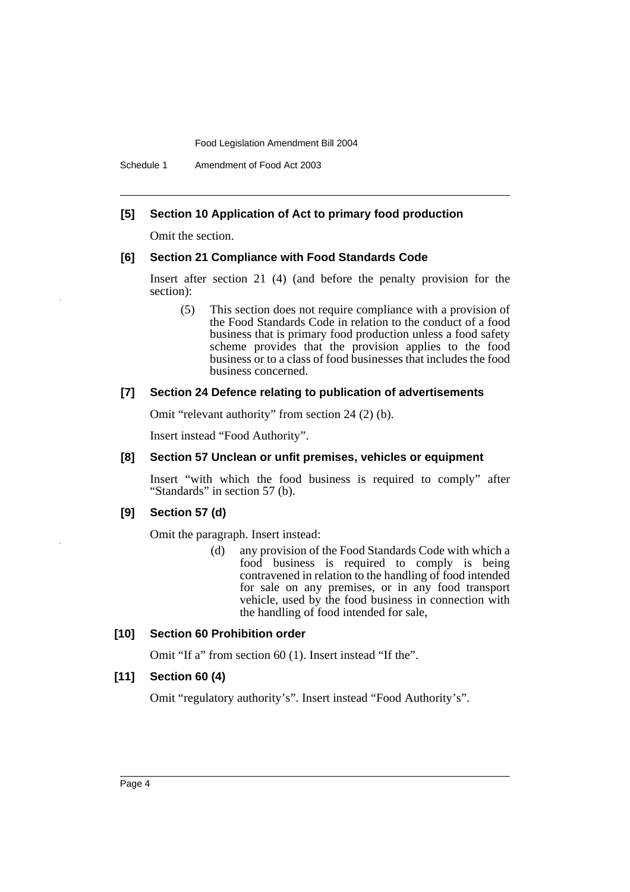### **[5] Section 10 Application of Act to primary food production**

Omit the section.

#### **[6] Section 21 Compliance with Food Standards Code**

Insert after section 21 (4) (and before the penalty provision for the section):

(5) This section does not require compliance with a provision of the Food Standards Code in relation to the conduct of a food business that is primary food production unless a food safety scheme provides that the provision applies to the food business or to a class of food businesses that includes the food business concerned.

#### **[7] Section 24 Defence relating to publication of advertisements**

Omit "relevant authority" from section 24 (2) (b).

Insert instead "Food Authority".

#### **[8] Section 57 Unclean or unfit premises, vehicles or equipment**

Insert "with which the food business is required to comply" after "Standards" in section 57 (b).

#### **[9] Section 57 (d)**

Omit the paragraph. Insert instead:

(d) any provision of the Food Standards Code with which a food business is required to comply is being contravened in relation to the handling of food intended for sale on any premises, or in any food transport vehicle, used by the food business in connection with the handling of food intended for sale,

#### **[10] Section 60 Prohibition order**

Omit "If a" from section 60 (1). Insert instead "If the".

#### **[11] Section 60 (4)**

Omit "regulatory authority's". Insert instead "Food Authority's".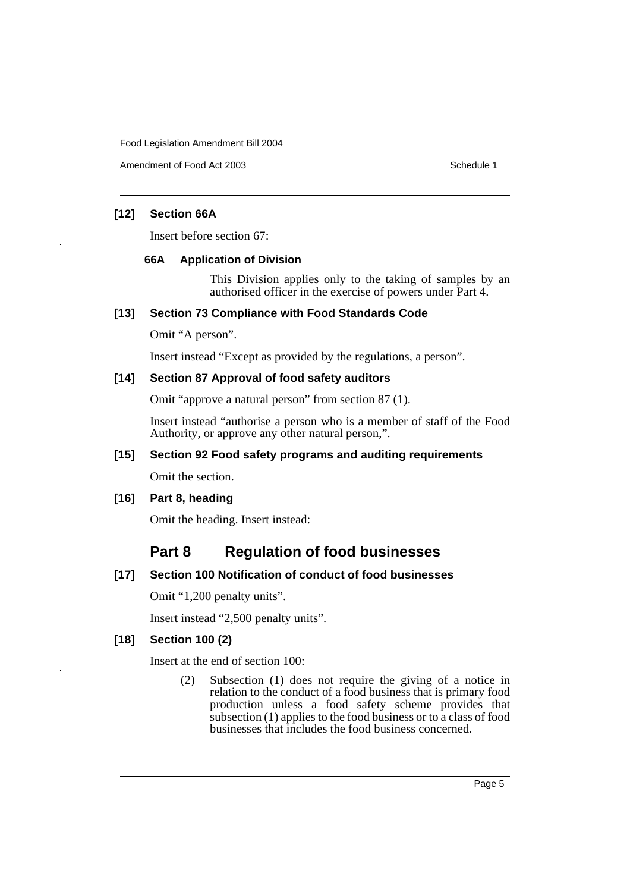Amendment of Food Act 2003 Schedule 1

### **[12] Section 66A**

Insert before section 67:

#### **66A Application of Division**

This Division applies only to the taking of samples by an authorised officer in the exercise of powers under Part 4.

#### **[13] Section 73 Compliance with Food Standards Code**

Omit "A person".

Insert instead "Except as provided by the regulations, a person".

### **[14] Section 87 Approval of food safety auditors**

Omit "approve a natural person" from section 87 (1).

Insert instead "authorise a person who is a member of staff of the Food Authority, or approve any other natural person,".

#### **[15] Section 92 Food safety programs and auditing requirements**

Omit the section.

#### **[16] Part 8, heading**

Omit the heading. Insert instead:

## **Part 8 Regulation of food businesses**

#### **[17] Section 100 Notification of conduct of food businesses**

Omit "1,200 penalty units".

Insert instead "2,500 penalty units".

#### **[18] Section 100 (2)**

Insert at the end of section 100:

(2) Subsection (1) does not require the giving of a notice in relation to the conduct of a food business that is primary food production unless a food safety scheme provides that subsection  $(1)$  applies to the food business or to a class of food businesses that includes the food business concerned.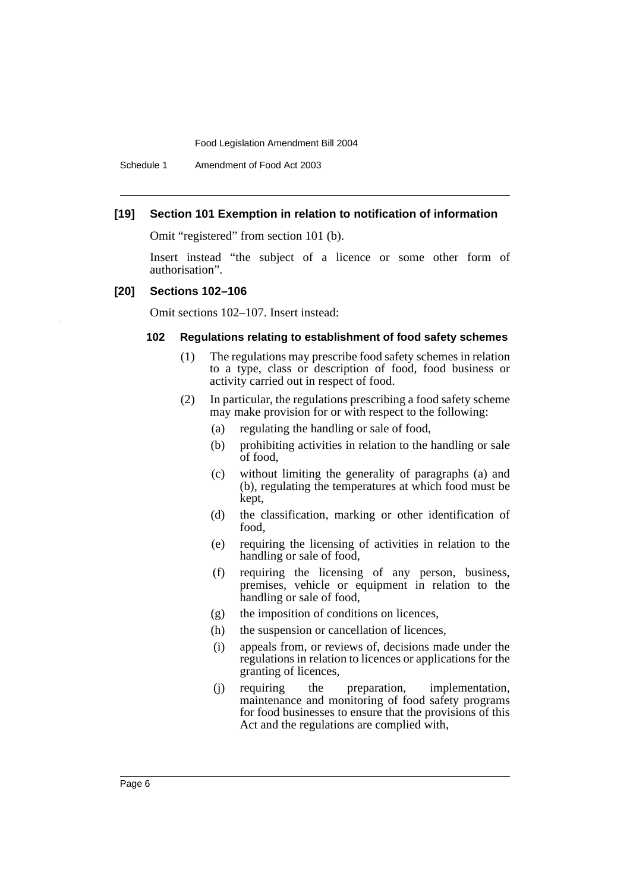Schedule 1 Amendment of Food Act 2003

#### **[19] Section 101 Exemption in relation to notification of information**

Omit "registered" from section 101 (b).

Insert instead "the subject of a licence or some other form of authorisation".

#### **[20] Sections 102–106**

Omit sections 102–107. Insert instead:

#### **102 Regulations relating to establishment of food safety schemes**

- (1) The regulations may prescribe food safety schemes in relation to a type, class or description of food, food business or activity carried out in respect of food.
- (2) In particular, the regulations prescribing a food safety scheme may make provision for or with respect to the following:
	- (a) regulating the handling or sale of food,
	- (b) prohibiting activities in relation to the handling or sale of food,
	- (c) without limiting the generality of paragraphs (a) and (b), regulating the temperatures at which food must be kept,
	- (d) the classification, marking or other identification of food,
	- (e) requiring the licensing of activities in relation to the handling or sale of food,
	- (f) requiring the licensing of any person, business, premises, vehicle or equipment in relation to the handling or sale of food,
	- (g) the imposition of conditions on licences,
	- (h) the suspension or cancellation of licences,
	- (i) appeals from, or reviews of, decisions made under the regulations in relation to licences or applications for the granting of licences,
	- (j) requiring the preparation, implementation, maintenance and monitoring of food safety programs for food businesses to ensure that the provisions of this Act and the regulations are complied with,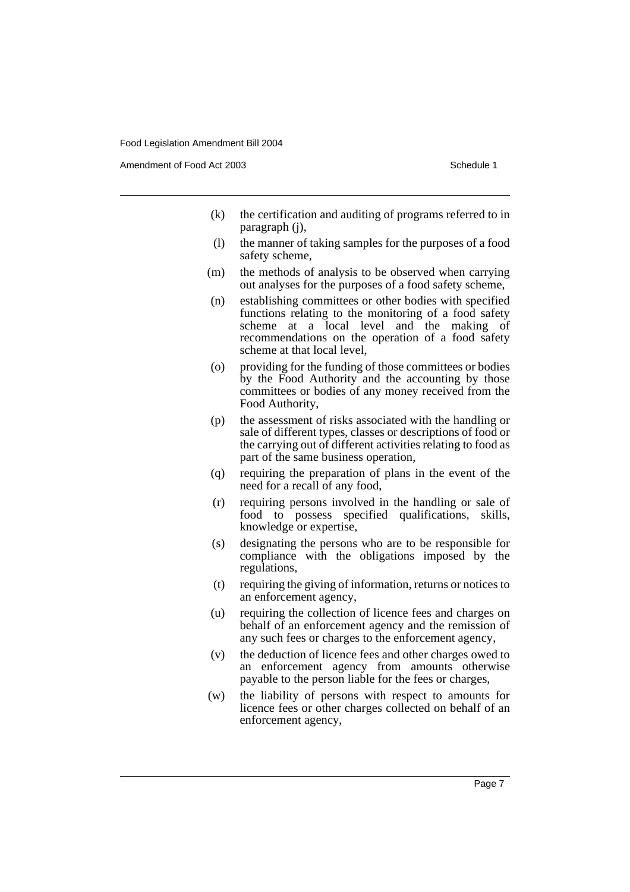Amendment of Food Act 2003 **Schedule 1** and the state of the Schedule 1

- (k) the certification and auditing of programs referred to in paragraph (j),
- (l) the manner of taking samples for the purposes of a food safety scheme,
- (m) the methods of analysis to be observed when carrying out analyses for the purposes of a food safety scheme,
- (n) establishing committees or other bodies with specified functions relating to the monitoring of a food safety scheme at a local level and the making of recommendations on the operation of a food safety scheme at that local level,
- (o) providing for the funding of those committees or bodies by the Food Authority and the accounting by those committees or bodies of any money received from the Food Authority,
- (p) the assessment of risks associated with the handling or sale of different types, classes or descriptions of food or the carrying out of different activities relating to food as part of the same business operation,
- (q) requiring the preparation of plans in the event of the need for a recall of any food,
- (r) requiring persons involved in the handling or sale of food to possess specified qualifications, skills, knowledge or expertise,
- (s) designating the persons who are to be responsible for compliance with the obligations imposed by the regulations,
- (t) requiring the giving of information, returns or notices to an enforcement agency,
- (u) requiring the collection of licence fees and charges on behalf of an enforcement agency and the remission of any such fees or charges to the enforcement agency,
- (v) the deduction of licence fees and other charges owed to an enforcement agency from amounts otherwise payable to the person liable for the fees or charges,
- (w) the liability of persons with respect to amounts for licence fees or other charges collected on behalf of an enforcement agency,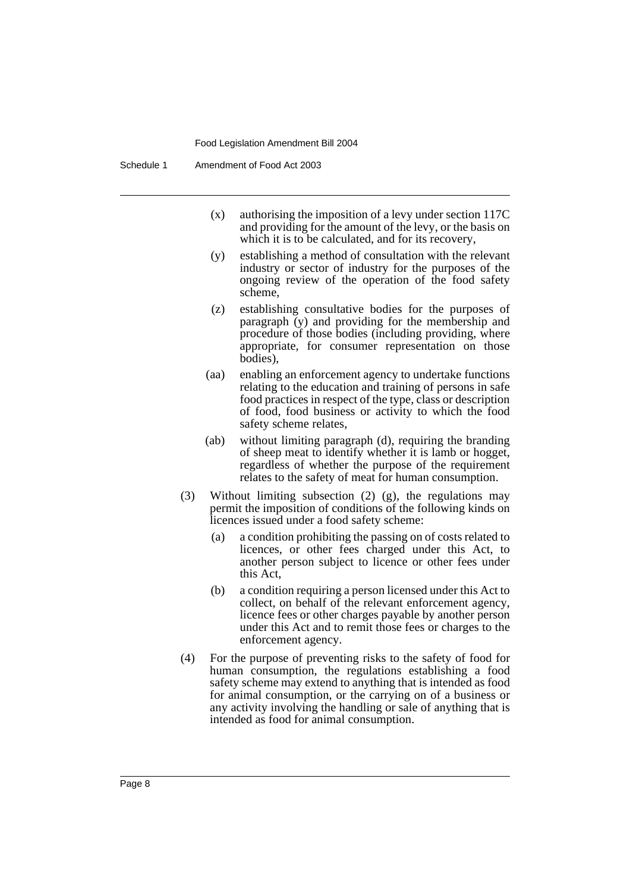- (x) authorising the imposition of a levy under section 117C and providing for the amount of the levy, or the basis on which it is to be calculated, and for its recovery,
- (y) establishing a method of consultation with the relevant industry or sector of industry for the purposes of the ongoing review of the operation of the food safety scheme,
- (z) establishing consultative bodies for the purposes of paragraph (y) and providing for the membership and procedure of those bodies (including providing, where appropriate, for consumer representation on those bodies),
- (aa) enabling an enforcement agency to undertake functions relating to the education and training of persons in safe food practices in respect of the type, class or description of food, food business or activity to which the food safety scheme relates,
- (ab) without limiting paragraph (d), requiring the branding of sheep meat to identify whether it is lamb or hogget, regardless of whether the purpose of the requirement relates to the safety of meat for human consumption.
- (3) Without limiting subsection (2) (g), the regulations may permit the imposition of conditions of the following kinds on licences issued under a food safety scheme:
	- (a) a condition prohibiting the passing on of costs related to licences, or other fees charged under this Act, to another person subject to licence or other fees under this Act,
	- (b) a condition requiring a person licensed under this Act to collect, on behalf of the relevant enforcement agency, licence fees or other charges payable by another person under this Act and to remit those fees or charges to the enforcement agency.
- (4) For the purpose of preventing risks to the safety of food for human consumption, the regulations establishing a food safety scheme may extend to anything that is intended as food for animal consumption, or the carrying on of a business or any activity involving the handling or sale of anything that is intended as food for animal consumption.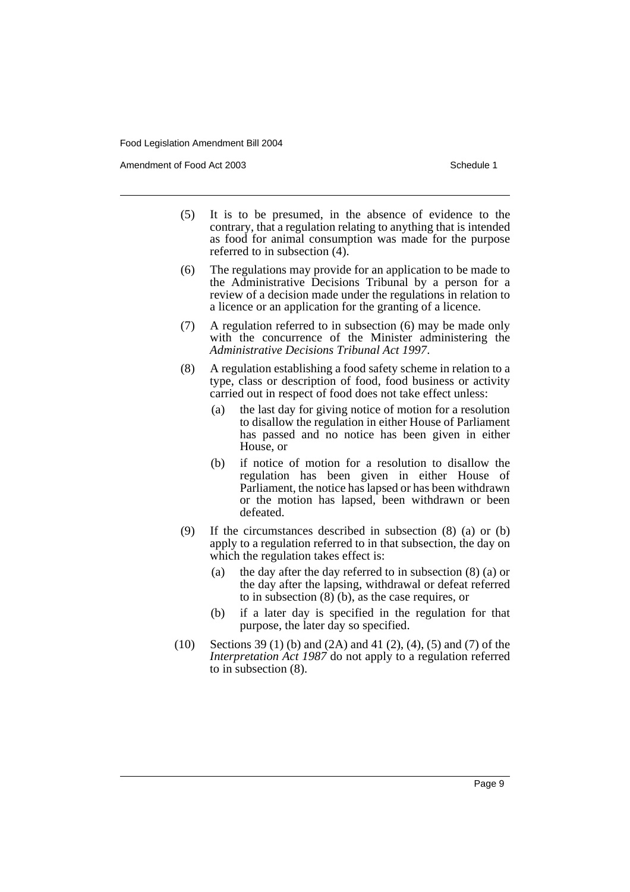Amendment of Food Act 2003 **Schedule 1** and the state of the Schedule 1

- (5) It is to be presumed, in the absence of evidence to the contrary, that a regulation relating to anything that is intended as food for animal consumption was made for the purpose referred to in subsection (4).
- (6) The regulations may provide for an application to be made to the Administrative Decisions Tribunal by a person for a review of a decision made under the regulations in relation to a licence or an application for the granting of a licence.
- (7) A regulation referred to in subsection (6) may be made only with the concurrence of the Minister administering the *Administrative Decisions Tribunal Act 1997*.
- (8) A regulation establishing a food safety scheme in relation to a type, class or description of food, food business or activity carried out in respect of food does not take effect unless:
	- (a) the last day for giving notice of motion for a resolution to disallow the regulation in either House of Parliament has passed and no notice has been given in either House, or
	- (b) if notice of motion for a resolution to disallow the regulation has been given in either House of Parliament, the notice has lapsed or has been withdrawn or the motion has lapsed, been withdrawn or been defeated.
- (9) If the circumstances described in subsection (8) (a) or (b) apply to a regulation referred to in that subsection, the day on which the regulation takes effect is:
	- (a) the day after the day referred to in subsection (8) (a) or the day after the lapsing, withdrawal or defeat referred to in subsection  $(8)$  (b), as the case requires, or
	- (b) if a later day is specified in the regulation for that purpose, the later day so specified.
- (10) Sections 39 (1) (b) and (2A) and 41 (2), (4), (5) and (7) of the *Interpretation Act 1987* do not apply to a regulation referred to in subsection (8).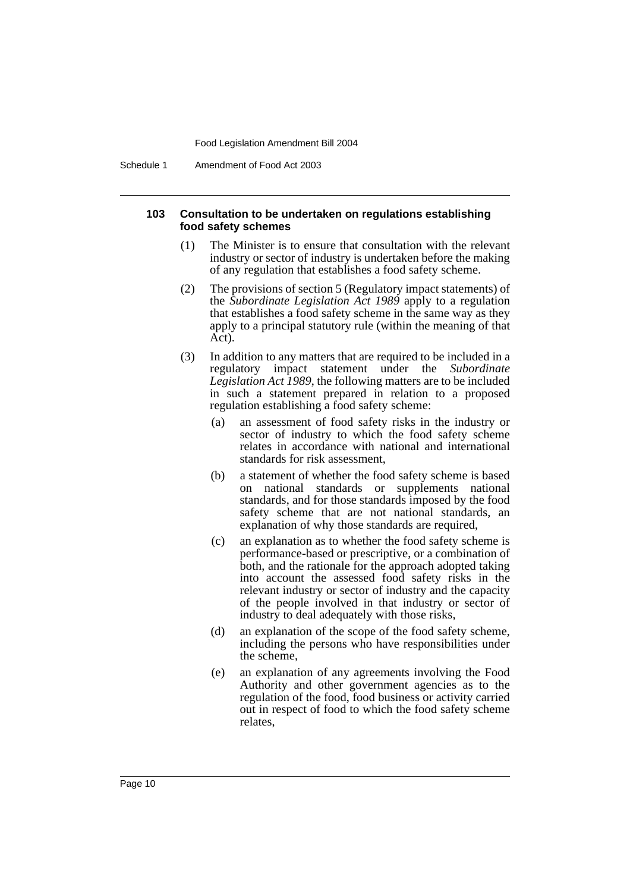Schedule 1 Amendment of Food Act 2003

#### **103 Consultation to be undertaken on regulations establishing food safety schemes**

- (1) The Minister is to ensure that consultation with the relevant industry or sector of industry is undertaken before the making of any regulation that establishes a food safety scheme.
- (2) The provisions of section 5 (Regulatory impact statements) of the *Subordinate Legislation Act 1989* apply to a regulation that establishes a food safety scheme in the same way as they apply to a principal statutory rule (within the meaning of that Act).
- (3) In addition to any matters that are required to be included in a regulatory impact statement under the *Subordinate Legislation Act 1989*, the following matters are to be included in such a statement prepared in relation to a proposed regulation establishing a food safety scheme:
	- (a) an assessment of food safety risks in the industry or sector of industry to which the food safety scheme relates in accordance with national and international standards for risk assessment,
	- (b) a statement of whether the food safety scheme is based on national standards or supplements national standards, and for those standards imposed by the food safety scheme that are not national standards, an explanation of why those standards are required,
	- (c) an explanation as to whether the food safety scheme is performance-based or prescriptive, or a combination of both, and the rationale for the approach adopted taking into account the assessed food safety risks in the relevant industry or sector of industry and the capacity of the people involved in that industry or sector of industry to deal adequately with those risks,
	- (d) an explanation of the scope of the food safety scheme, including the persons who have responsibilities under the scheme,
	- (e) an explanation of any agreements involving the Food Authority and other government agencies as to the regulation of the food, food business or activity carried out in respect of food to which the food safety scheme relates,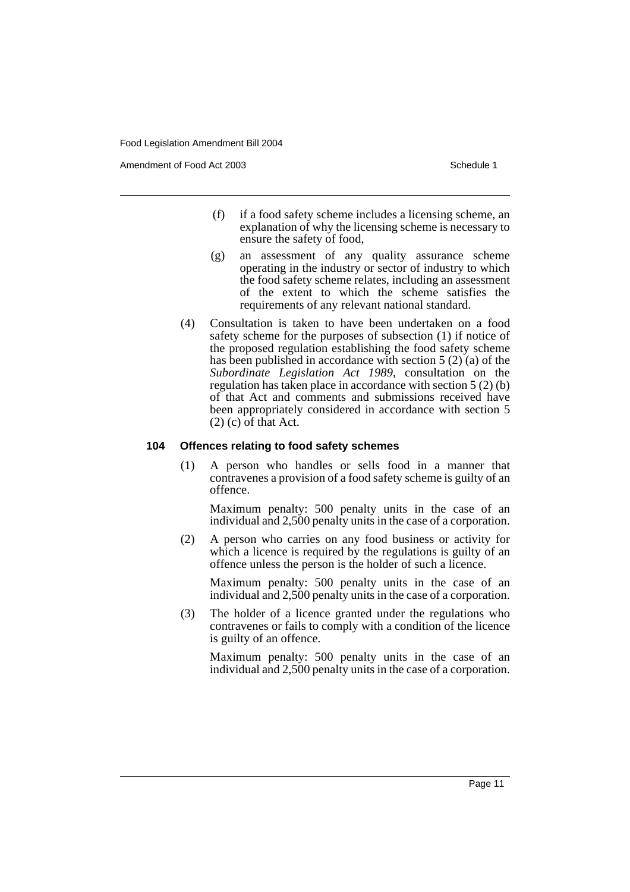Amendment of Food Act 2003 **Schedule 1** and the state of the Schedule 1

- (f) if a food safety scheme includes a licensing scheme, an explanation of why the licensing scheme is necessary to ensure the safety of food,
- (g) an assessment of any quality assurance scheme operating in the industry or sector of industry to which the food safety scheme relates, including an assessment of the extent to which the scheme satisfies the requirements of any relevant national standard.
- (4) Consultation is taken to have been undertaken on a food safety scheme for the purposes of subsection (1) if notice of the proposed regulation establishing the food safety scheme has been published in accordance with section 5 (2) (a) of the *Subordinate Legislation Act 1989*, consultation on the regulation has taken place in accordance with section 5 (2) (b) of that Act and comments and submissions received have been appropriately considered in accordance with section 5  $(2)$  (c) of that Act.

#### **104 Offences relating to food safety schemes**

(1) A person who handles or sells food in a manner that contravenes a provision of a food safety scheme is guilty of an offence.

Maximum penalty: 500 penalty units in the case of an individual and 2,500 penalty units in the case of a corporation.

(2) A person who carries on any food business or activity for which a licence is required by the regulations is guilty of an offence unless the person is the holder of such a licence.

Maximum penalty: 500 penalty units in the case of an individual and 2,500 penalty units in the case of a corporation.

(3) The holder of a licence granted under the regulations who contravenes or fails to comply with a condition of the licence is guilty of an offence.

Maximum penalty: 500 penalty units in the case of an individual and 2,500 penalty units in the case of a corporation.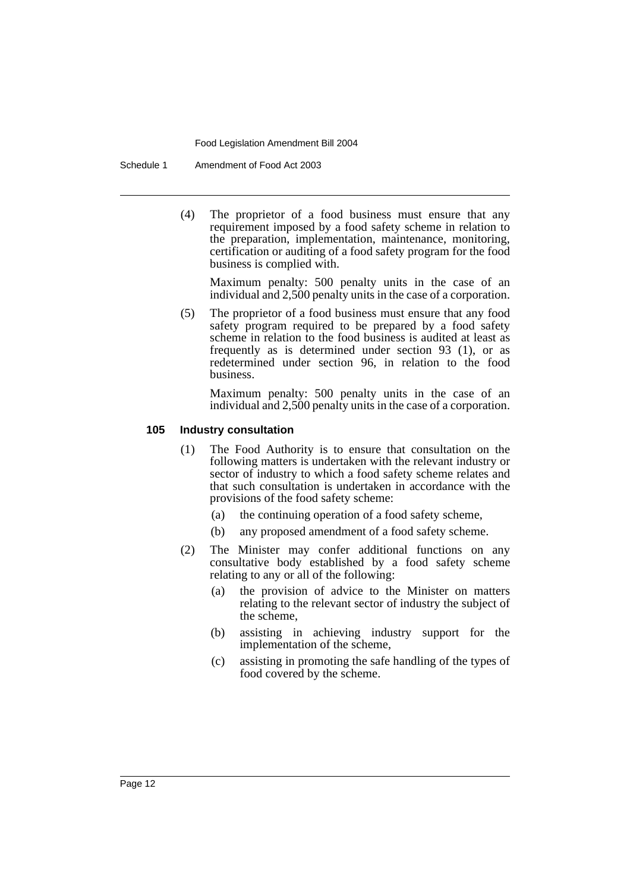Schedule 1 Amendment of Food Act 2003

(4) The proprietor of a food business must ensure that any requirement imposed by a food safety scheme in relation to the preparation, implementation, maintenance, monitoring, certification or auditing of a food safety program for the food business is complied with.

Maximum penalty: 500 penalty units in the case of an individual and 2,500 penalty units in the case of a corporation.

(5) The proprietor of a food business must ensure that any food safety program required to be prepared by a food safety scheme in relation to the food business is audited at least as frequently as is determined under section 93 (1), or as redetermined under section 96, in relation to the food business.

Maximum penalty: 500 penalty units in the case of an individual and 2,500 penalty units in the case of a corporation.

#### **105 Industry consultation**

- (1) The Food Authority is to ensure that consultation on the following matters is undertaken with the relevant industry or sector of industry to which a food safety scheme relates and that such consultation is undertaken in accordance with the provisions of the food safety scheme:
	- (a) the continuing operation of a food safety scheme,
	- (b) any proposed amendment of a food safety scheme.
- (2) The Minister may confer additional functions on any consultative body established by a food safety scheme relating to any or all of the following:
	- (a) the provision of advice to the Minister on matters relating to the relevant sector of industry the subject of the scheme,
	- (b) assisting in achieving industry support for the implementation of the scheme,
	- (c) assisting in promoting the safe handling of the types of food covered by the scheme.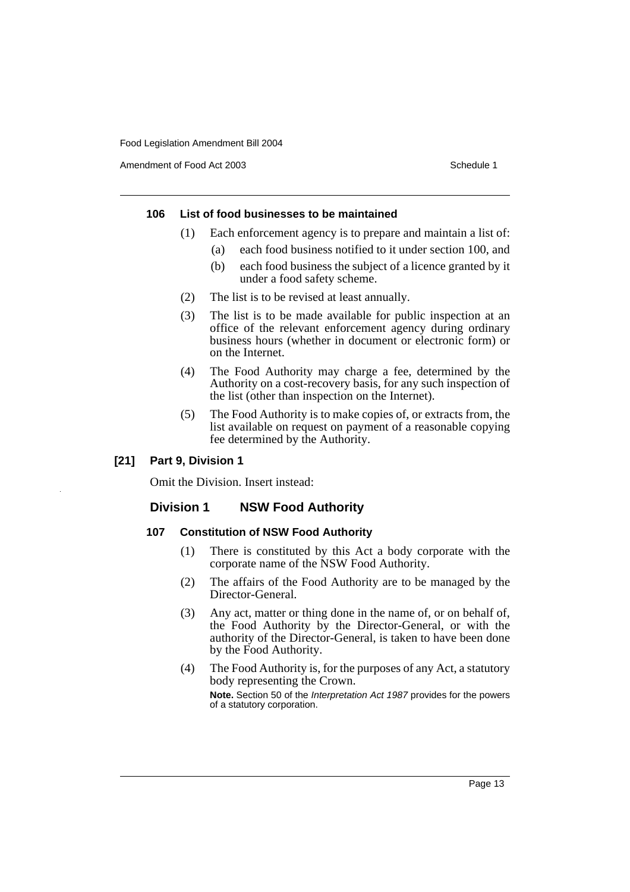Amendment of Food Act 2003 **Schedule 1** and the state of the Schedule 1

#### **106 List of food businesses to be maintained**

- (1) Each enforcement agency is to prepare and maintain a list of:
	- (a) each food business notified to it under section 100, and
		- (b) each food business the subject of a licence granted by it under a food safety scheme.
- (2) The list is to be revised at least annually.
- (3) The list is to be made available for public inspection at an office of the relevant enforcement agency during ordinary business hours (whether in document or electronic form) or on the Internet.
- (4) The Food Authority may charge a fee, determined by the Authority on a cost-recovery basis, for any such inspection of the list (other than inspection on the Internet).
- (5) The Food Authority is to make copies of, or extracts from, the list available on request on payment of a reasonable copying fee determined by the Authority.

#### **[21] Part 9, Division 1**

Omit the Division. Insert instead:

### **Division 1 NSW Food Authority**

#### **107 Constitution of NSW Food Authority**

- (1) There is constituted by this Act a body corporate with the corporate name of the NSW Food Authority.
- (2) The affairs of the Food Authority are to be managed by the Director-General.
- (3) Any act, matter or thing done in the name of, or on behalf of, the Food Authority by the Director-General, or with the authority of the Director-General, is taken to have been done by the Food Authority.
- (4) The Food Authority is, for the purposes of any Act, a statutory body representing the Crown. **Note.** Section 50 of the Interpretation Act 1987 provides for the powers of a statutory corporation.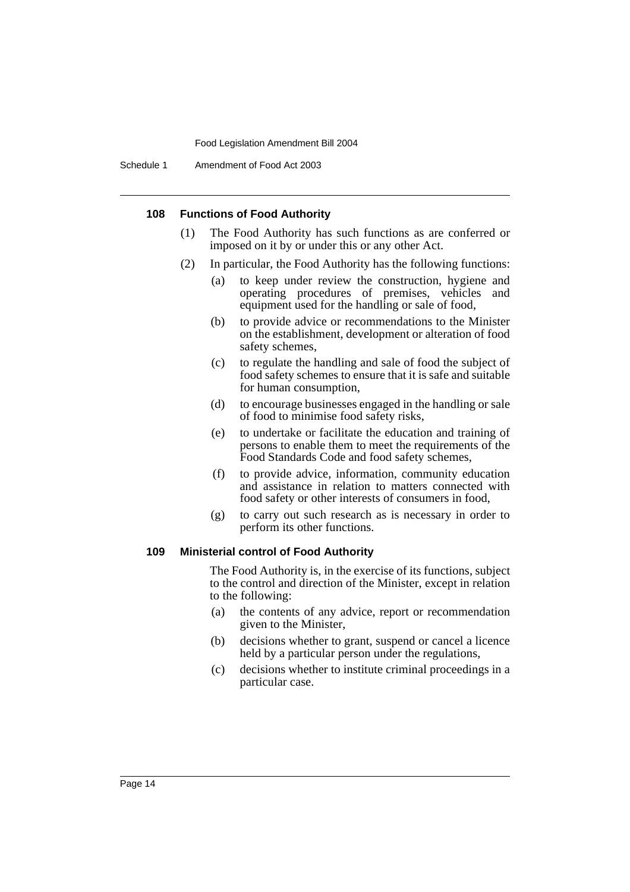Schedule 1 Amendment of Food Act 2003

#### **108 Functions of Food Authority**

- (1) The Food Authority has such functions as are conferred or imposed on it by or under this or any other Act.
- (2) In particular, the Food Authority has the following functions:
	- (a) to keep under review the construction, hygiene and operating procedures of premises, vehicles and equipment used for the handling or sale of food,
	- (b) to provide advice or recommendations to the Minister on the establishment, development or alteration of food safety schemes,
	- (c) to regulate the handling and sale of food the subject of food safety schemes to ensure that it is safe and suitable for human consumption,
	- (d) to encourage businesses engaged in the handling or sale of food to minimise food safety risks,
	- (e) to undertake or facilitate the education and training of persons to enable them to meet the requirements of the Food Standards Code and food safety schemes,
	- (f) to provide advice, information, community education and assistance in relation to matters connected with food safety or other interests of consumers in food,
	- (g) to carry out such research as is necessary in order to perform its other functions.

#### **109 Ministerial control of Food Authority**

The Food Authority is, in the exercise of its functions, subject to the control and direction of the Minister, except in relation to the following:

- (a) the contents of any advice, report or recommendation given to the Minister,
- (b) decisions whether to grant, suspend or cancel a licence held by a particular person under the regulations,
- (c) decisions whether to institute criminal proceedings in a particular case.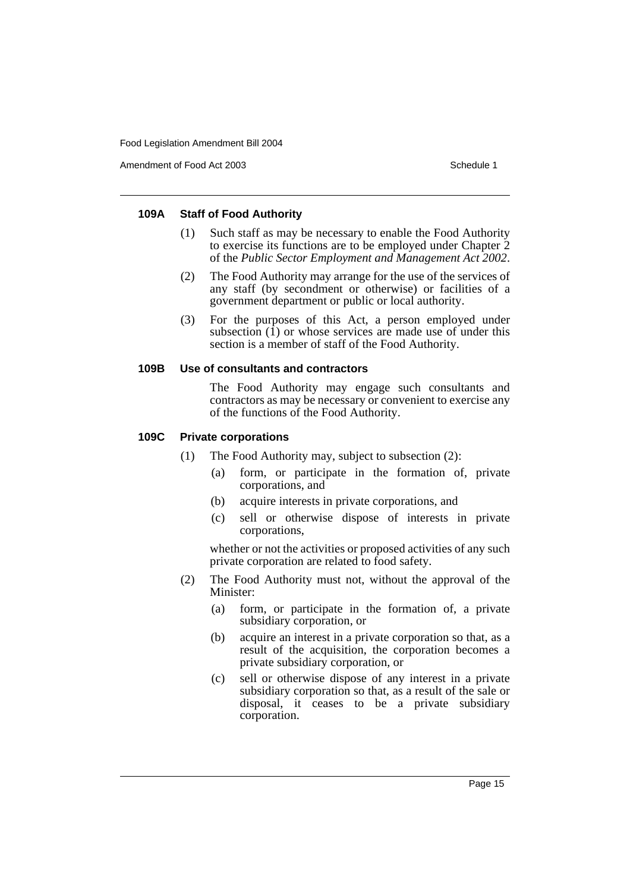Amendment of Food Act 2003 **Schedule 1** and the state of the Schedule 1

#### **109A Staff of Food Authority**

- (1) Such staff as may be necessary to enable the Food Authority to exercise its functions are to be employed under Chapter 2 of the *Public Sector Employment and Management Act 2002*.
- (2) The Food Authority may arrange for the use of the services of any staff (by secondment or otherwise) or facilities of a government department or public or local authority.
- (3) For the purposes of this Act, a person employed under subsection  $(1)$  or whose services are made use of under this section is a member of staff of the Food Authority.

#### **109B Use of consultants and contractors**

The Food Authority may engage such consultants and contractors as may be necessary or convenient to exercise any of the functions of the Food Authority.

#### **109C Private corporations**

- (1) The Food Authority may, subject to subsection (2):
	- (a) form, or participate in the formation of, private corporations, and
	- (b) acquire interests in private corporations, and
	- (c) sell or otherwise dispose of interests in private corporations,

whether or not the activities or proposed activities of any such private corporation are related to food safety.

- (2) The Food Authority must not, without the approval of the Minister:
	- (a) form, or participate in the formation of, a private subsidiary corporation, or
	- (b) acquire an interest in a private corporation so that, as a result of the acquisition, the corporation becomes a private subsidiary corporation, or
	- (c) sell or otherwise dispose of any interest in a private subsidiary corporation so that, as a result of the sale or disposal, it ceases to be a private subsidiary corporation.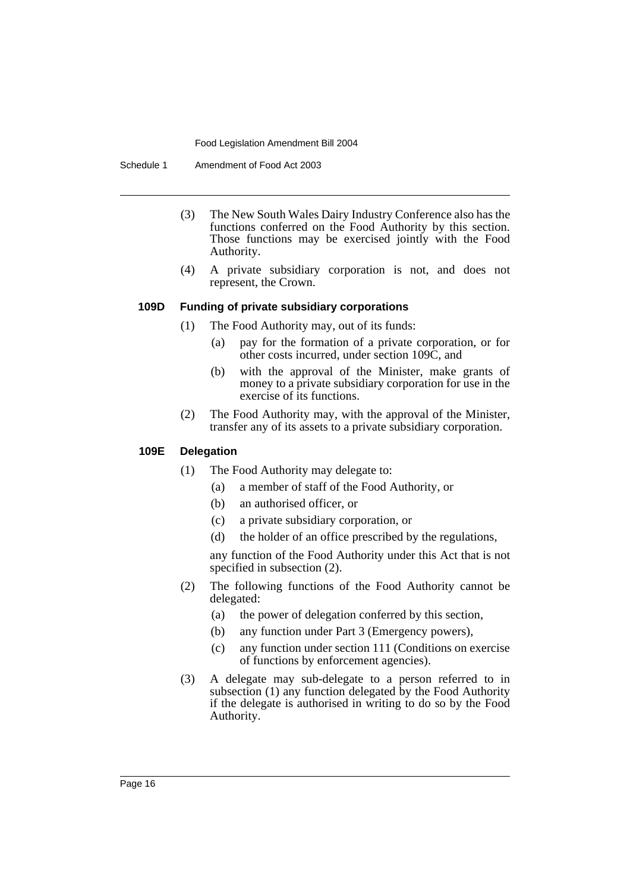Schedule 1 Amendment of Food Act 2003

- (3) The New South Wales Dairy Industry Conference also has the functions conferred on the Food Authority by this section. Those functions may be exercised jointly with the Food Authority.
- (4) A private subsidiary corporation is not, and does not represent, the Crown.

#### **109D Funding of private subsidiary corporations**

- (1) The Food Authority may, out of its funds:
	- (a) pay for the formation of a private corporation, or for other costs incurred, under section 109C, and
	- (b) with the approval of the Minister, make grants of money to a private subsidiary corporation for use in the exercise of its functions.
- (2) The Food Authority may, with the approval of the Minister, transfer any of its assets to a private subsidiary corporation.

### **109E Delegation**

- (1) The Food Authority may delegate to:
	- (a) a member of staff of the Food Authority, or
	- (b) an authorised officer, or
	- (c) a private subsidiary corporation, or
	- (d) the holder of an office prescribed by the regulations,

any function of the Food Authority under this Act that is not specified in subsection (2).

- (2) The following functions of the Food Authority cannot be delegated:
	- (a) the power of delegation conferred by this section,
	- (b) any function under Part 3 (Emergency powers),
	- (c) any function under section 111 (Conditions on exercise of functions by enforcement agencies).
- (3) A delegate may sub-delegate to a person referred to in subsection (1) any function delegated by the Food Authority if the delegate is authorised in writing to do so by the Food Authority.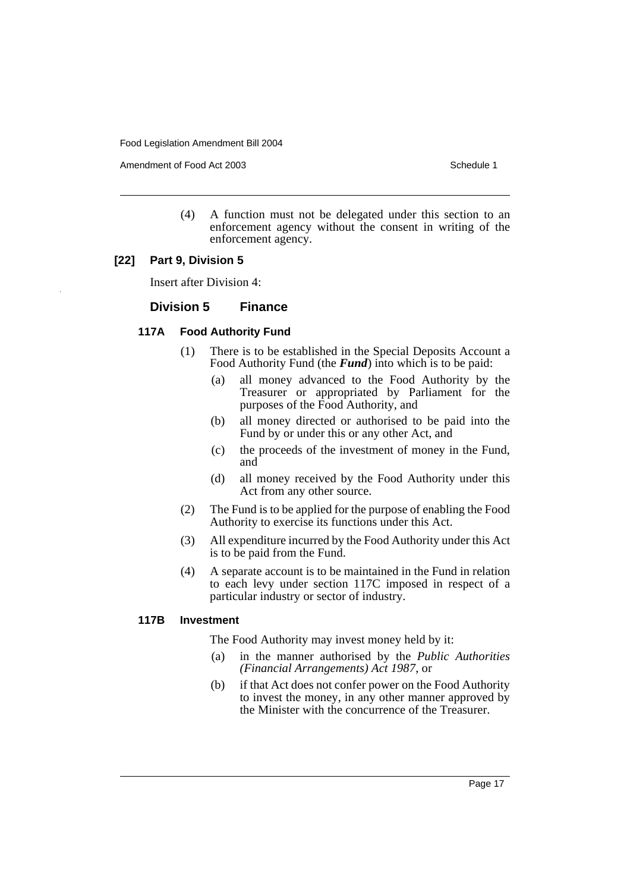Amendment of Food Act 2003 **Schedule 1** and the state of the Schedule 1

(4) A function must not be delegated under this section to an enforcement agency without the consent in writing of the enforcement agency.

#### **[22] Part 9, Division 5**

Insert after Division 4:

#### **Division 5 Finance**

### **117A Food Authority Fund**

- (1) There is to be established in the Special Deposits Account a Food Authority Fund (the *Fund*) into which is to be paid:
	- (a) all money advanced to the Food Authority by the Treasurer or appropriated by Parliament for the purposes of the Food Authority, and
	- (b) all money directed or authorised to be paid into the Fund by or under this or any other Act, and
	- (c) the proceeds of the investment of money in the Fund, and
	- (d) all money received by the Food Authority under this Act from any other source.
- (2) The Fund is to be applied for the purpose of enabling the Food Authority to exercise its functions under this Act.
- (3) All expenditure incurred by the Food Authority under this Act is to be paid from the Fund.
- (4) A separate account is to be maintained in the Fund in relation to each levy under section 117C imposed in respect of a particular industry or sector of industry.

#### **117B Investment**

The Food Authority may invest money held by it:

- (a) in the manner authorised by the *Public Authorities (Financial Arrangements) Act 1987*, or
- (b) if that Act does not confer power on the Food Authority to invest the money, in any other manner approved by the Minister with the concurrence of the Treasurer.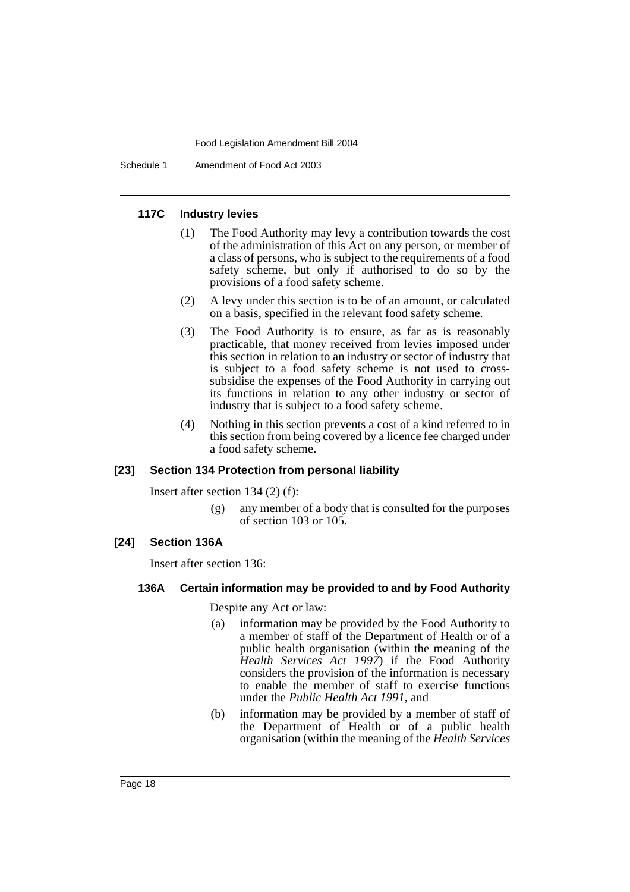Schedule 1 Amendment of Food Act 2003

#### **117C Industry levies**

- (1) The Food Authority may levy a contribution towards the cost of the administration of this Act on any person, or member of a class of persons, who is subject to the requirements of a food safety scheme, but only if authorised to do so by the provisions of a food safety scheme.
- (2) A levy under this section is to be of an amount, or calculated on a basis, specified in the relevant food safety scheme.
- (3) The Food Authority is to ensure, as far as is reasonably practicable, that money received from levies imposed under this section in relation to an industry or sector of industry that is subject to a food safety scheme is not used to crosssubsidise the expenses of the Food Authority in carrying out its functions in relation to any other industry or sector of industry that is subject to a food safety scheme.
- (4) Nothing in this section prevents a cost of a kind referred to in this section from being covered by a licence fee charged under a food safety scheme.

#### **[23] Section 134 Protection from personal liability**

Insert after section 134 (2) (f):

(g) any member of a body that is consulted for the purposes of section 103 or 105.

#### **[24] Section 136A**

Insert after section 136:

#### **136A Certain information may be provided to and by Food Authority**

Despite any Act or law:

- (a) information may be provided by the Food Authority to a member of staff of the Department of Health or of a public health organisation (within the meaning of the *Health Services Act 1997*) if the Food Authority considers the provision of the information is necessary to enable the member of staff to exercise functions under the *Public Health Act 1991*, and
- (b) information may be provided by a member of staff of the Department of Health or of a public health organisation (within the meaning of the *Health Services*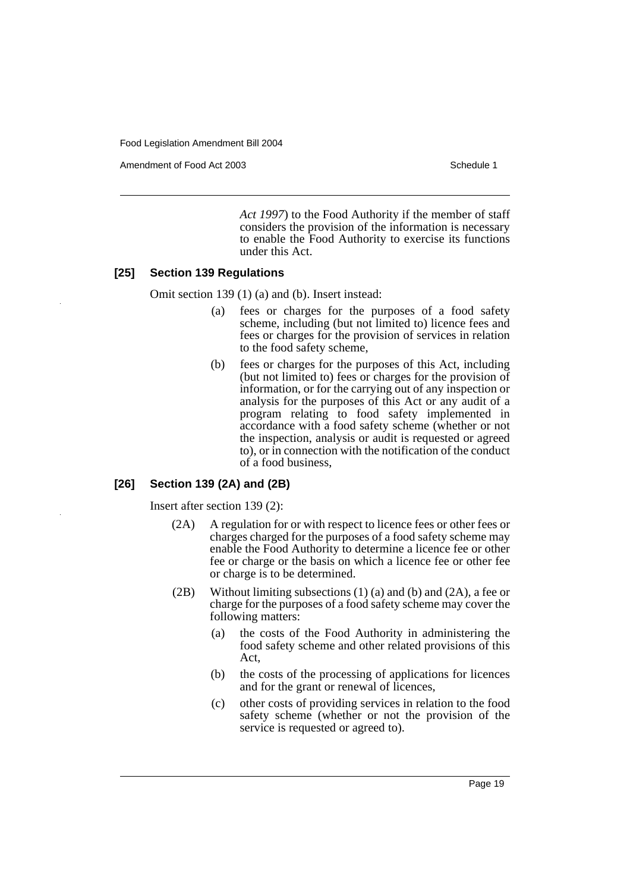Amendment of Food Act 2003 **Schedule 1** and the state of the Schedule 1

*Act 1997*) to the Food Authority if the member of staff considers the provision of the information is necessary to enable the Food Authority to exercise its functions under this Act.

#### **[25] Section 139 Regulations**

Omit section 139 (1) (a) and (b). Insert instead:

- (a) fees or charges for the purposes of a food safety scheme, including (but not limited to) licence fees and fees or charges for the provision of services in relation to the food safety scheme,
- (b) fees or charges for the purposes of this Act, including (but not limited to) fees or charges for the provision of information, or for the carrying out of any inspection or analysis for the purposes of this Act or any audit of a program relating to food safety implemented in accordance with a food safety scheme (whether or not the inspection, analysis or audit is requested or agreed to), or in connection with the notification of the conduct of a food business,

### **[26] Section 139 (2A) and (2B)**

Insert after section 139 (2):

- (2A) A regulation for or with respect to licence fees or other fees or charges charged for the purposes of a food safety scheme may enable the Food Authority to determine a licence fee or other fee or charge or the basis on which a licence fee or other fee or charge is to be determined.
- (2B) Without limiting subsections  $(1)$  (a) and  $(b)$  and  $(2A)$ , a fee or charge for the purposes of a food safety scheme may cover the following matters:
	- (a) the costs of the Food Authority in administering the food safety scheme and other related provisions of this Act,
	- (b) the costs of the processing of applications for licences and for the grant or renewal of licences,
	- (c) other costs of providing services in relation to the food safety scheme (whether or not the provision of the service is requested or agreed to).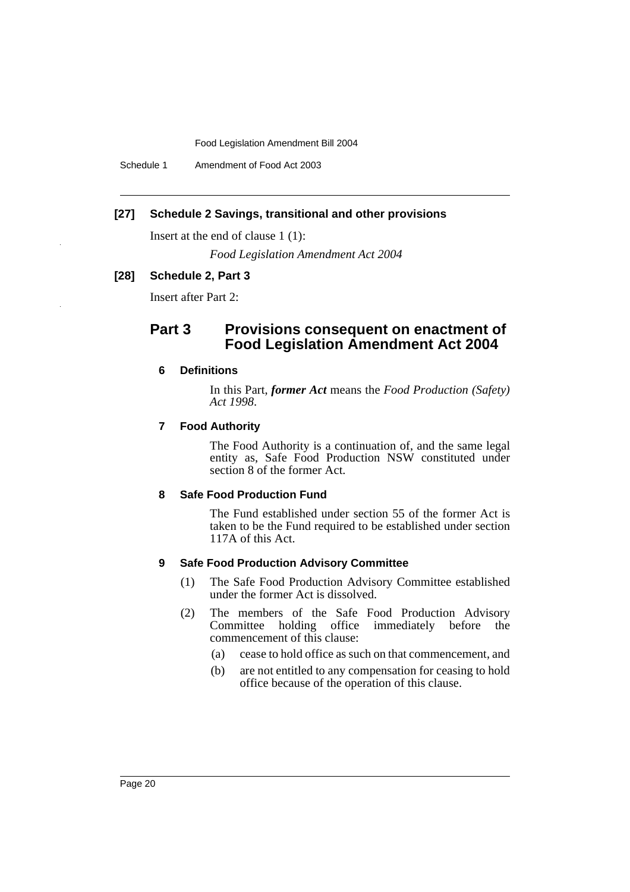Schedule 1 Amendment of Food Act 2003

#### **[27] Schedule 2 Savings, transitional and other provisions**

Insert at the end of clause 1 (1):

*Food Legislation Amendment Act 2004*

#### **[28] Schedule 2, Part 3**

Insert after Part 2:

### **Part 3 Provisions consequent on enactment of Food Legislation Amendment Act 2004**

#### **6 Definitions**

In this Part, *former Act* means the *Food Production (Safety) Act 1998*.

#### **7 Food Authority**

The Food Authority is a continuation of, and the same legal entity as, Safe Food Production NSW constituted under section 8 of the former Act.

#### **8 Safe Food Production Fund**

The Fund established under section 55 of the former Act is taken to be the Fund required to be established under section 117A of this Act.

#### **9 Safe Food Production Advisory Committee**

- (1) The Safe Food Production Advisory Committee established under the former Act is dissolved.
- (2) The members of the Safe Food Production Advisory Committee holding office immediately before commencement of this clause:
	- (a) cease to hold office as such on that commencement, and
	- (b) are not entitled to any compensation for ceasing to hold office because of the operation of this clause.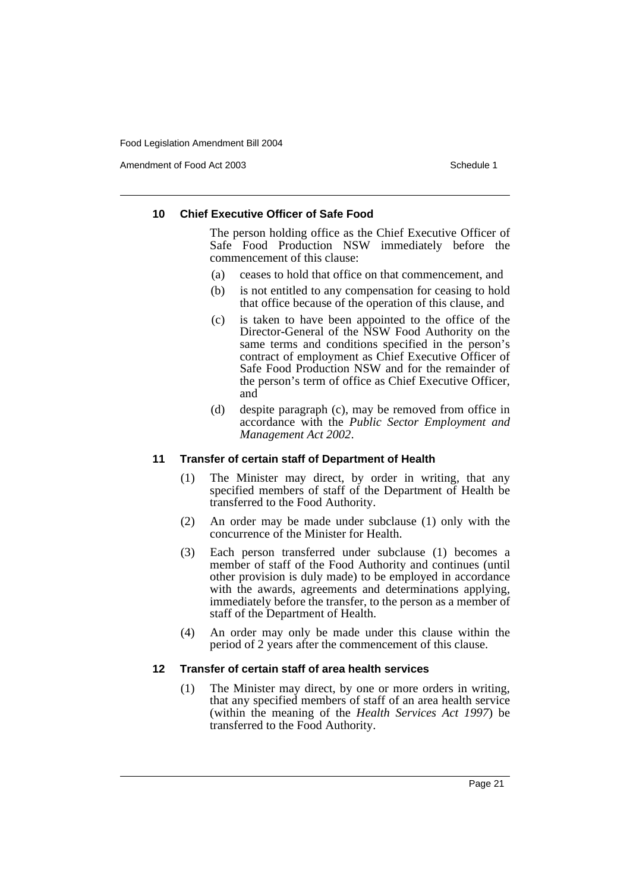Amendment of Food Act 2003 **Schedule 1** and the state of the Schedule 1

### **10 Chief Executive Officer of Safe Food**

The person holding office as the Chief Executive Officer of Safe Food Production NSW immediately before the commencement of this clause:

- (a) ceases to hold that office on that commencement, and
- (b) is not entitled to any compensation for ceasing to hold that office because of the operation of this clause, and
- (c) is taken to have been appointed to the office of the Director-General of the NSW Food Authority on the same terms and conditions specified in the person's contract of employment as Chief Executive Officer of Safe Food Production NSW and for the remainder of the person's term of office as Chief Executive Officer, and
- (d) despite paragraph (c), may be removed from office in accordance with the *Public Sector Employment and Management Act 2002*.

#### **11 Transfer of certain staff of Department of Health**

- (1) The Minister may direct, by order in writing, that any specified members of staff of the Department of Health be transferred to the Food Authority.
- (2) An order may be made under subclause (1) only with the concurrence of the Minister for Health.
- (3) Each person transferred under subclause (1) becomes a member of staff of the Food Authority and continues (until other provision is duly made) to be employed in accordance with the awards, agreements and determinations applying, immediately before the transfer, to the person as a member of staff of the Department of Health.
- (4) An order may only be made under this clause within the period of 2 years after the commencement of this clause.

### **12 Transfer of certain staff of area health services**

(1) The Minister may direct, by one or more orders in writing, that any specified members of staff of an area health service (within the meaning of the *Health Services Act 1997*) be transferred to the Food Authority.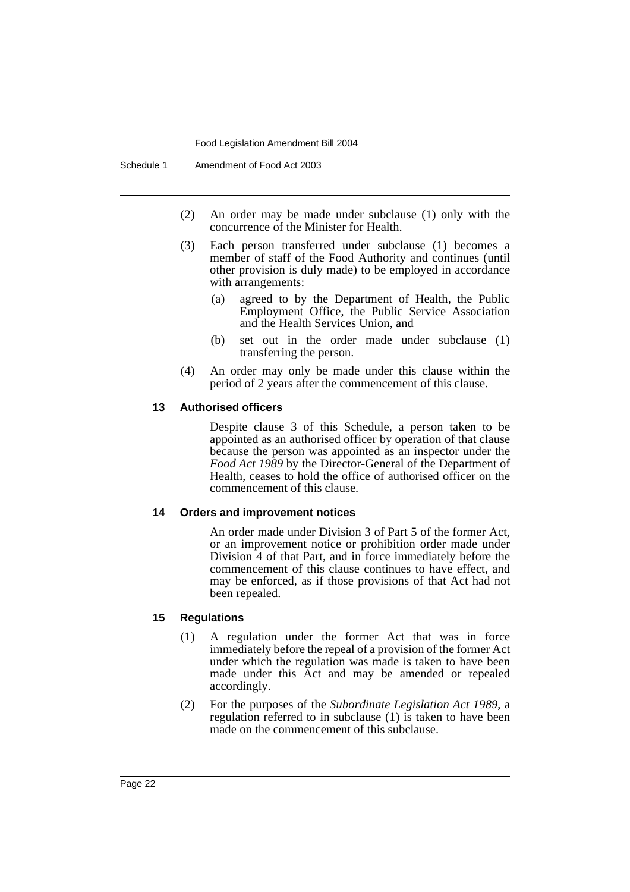- (2) An order may be made under subclause (1) only with the concurrence of the Minister for Health.
- (3) Each person transferred under subclause (1) becomes a member of staff of the Food Authority and continues (until other provision is duly made) to be employed in accordance with arrangements:
	- (a) agreed to by the Department of Health, the Public Employment Office, the Public Service Association and the Health Services Union, and
	- (b) set out in the order made under subclause (1) transferring the person.
- (4) An order may only be made under this clause within the period of 2 years after the commencement of this clause.

#### **13 Authorised officers**

Despite clause 3 of this Schedule, a person taken to be appointed as an authorised officer by operation of that clause because the person was appointed as an inspector under the *Food Act 1989* by the Director-General of the Department of Health, ceases to hold the office of authorised officer on the commencement of this clause.

#### **14 Orders and improvement notices**

An order made under Division 3 of Part 5 of the former Act, or an improvement notice or prohibition order made under Division 4 of that Part, and in force immediately before the commencement of this clause continues to have effect, and may be enforced, as if those provisions of that Act had not been repealed.

#### **15 Regulations**

- (1) A regulation under the former Act that was in force immediately before the repeal of a provision of the former Act under which the regulation was made is taken to have been made under this Act and may be amended or repealed accordingly.
- (2) For the purposes of the *Subordinate Legislation Act 1989*, a regulation referred to in subclause (1) is taken to have been made on the commencement of this subclause.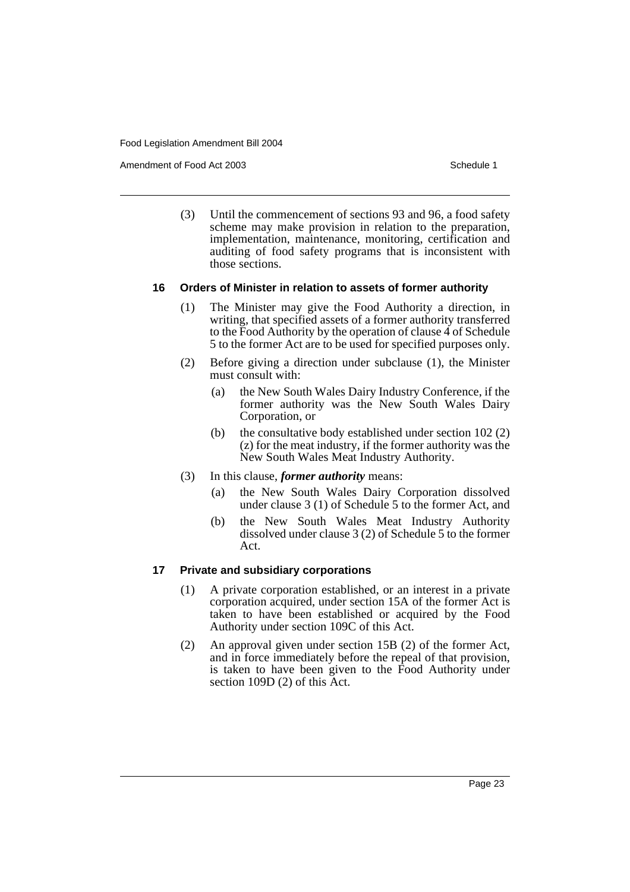Amendment of Food Act 2003 **Schedule 1** and the state of the Schedule 1

(3) Until the commencement of sections 93 and 96, a food safety scheme may make provision in relation to the preparation, implementation, maintenance, monitoring, certification and auditing of food safety programs that is inconsistent with those sections.

#### **16 Orders of Minister in relation to assets of former authority**

- (1) The Minister may give the Food Authority a direction, in writing, that specified assets of a former authority transferred to the Food Authority by the operation of clause 4 of Schedule 5 to the former Act are to be used for specified purposes only.
- (2) Before giving a direction under subclause (1), the Minister must consult with:
	- (a) the New South Wales Dairy Industry Conference, if the former authority was the New South Wales Dairy Corporation, or
	- (b) the consultative body established under section 102 (2) (z) for the meat industry, if the former authority was the New South Wales Meat Industry Authority.
- (3) In this clause, *former authority* means:
	- (a) the New South Wales Dairy Corporation dissolved under clause 3 (1) of Schedule 5 to the former Act, and
	- (b) the New South Wales Meat Industry Authority dissolved under clause 3 (2) of Schedule 5 to the former Act.

#### **17 Private and subsidiary corporations**

- (1) A private corporation established, or an interest in a private corporation acquired, under section 15A of the former Act is taken to have been established or acquired by the Food Authority under section 109C of this Act.
- (2) An approval given under section 15B (2) of the former Act, and in force immediately before the repeal of that provision, is taken to have been given to the Food Authority under section 109D (2) of this Act.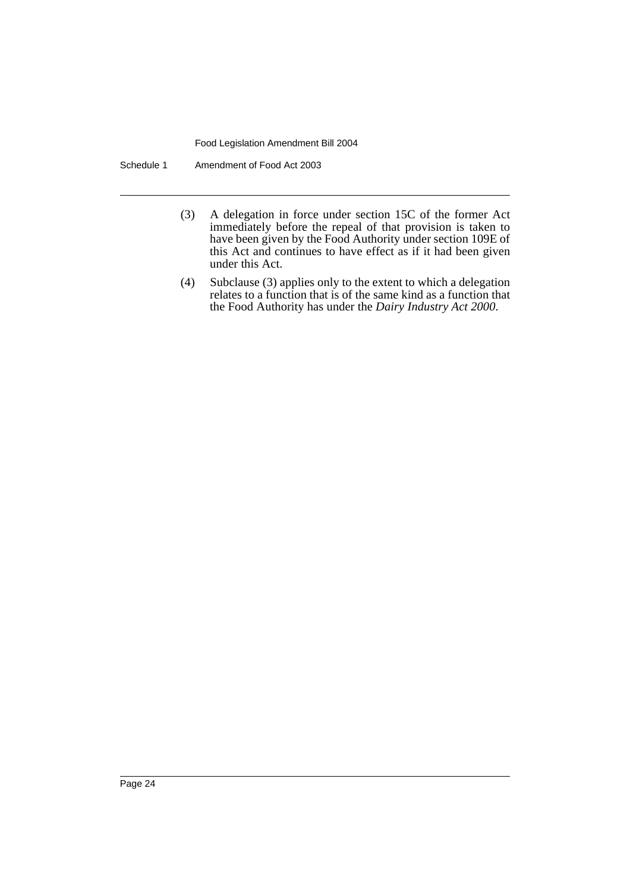Schedule 1 Amendment of Food Act 2003

- (3) A delegation in force under section 15C of the former Act immediately before the repeal of that provision is taken to have been given by the Food Authority under section 109E of this Act and continues to have effect as if it had been given under this Act.
- (4) Subclause (3) applies only to the extent to which a delegation relates to a function that is of the same kind as a function that the Food Authority has under the *Dairy Industry Act 2000*.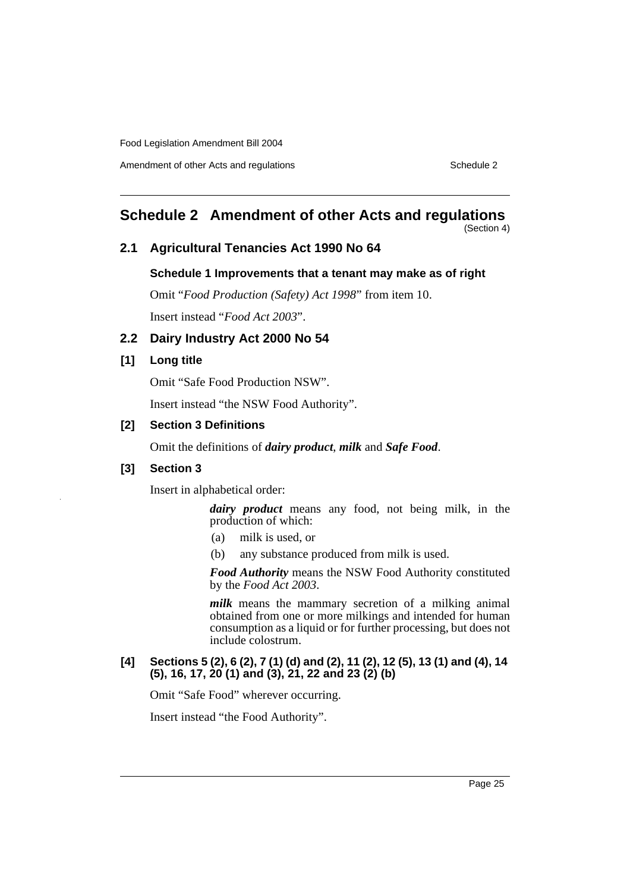Amendment of other Acts and regulations **Schedule 2** Schedule 2

### **Schedule 2 Amendment of other Acts and regulations**

(Section 4)

### **2.1 Agricultural Tenancies Act 1990 No 64**

#### **Schedule 1 Improvements that a tenant may make as of right**

Omit "*Food Production (Safety) Act 1998*" from item 10. Insert instead "*Food Act 2003*".

### **2.2 Dairy Industry Act 2000 No 54**

#### **[1] Long title**

Omit "Safe Food Production NSW".

Insert instead "the NSW Food Authority".

#### **[2] Section 3 Definitions**

Omit the definitions of *dairy product*, *milk* and *Safe Food*.

### **[3] Section 3**

Insert in alphabetical order:

*dairy product* means any food, not being milk, in the production of which:

- (a) milk is used, or
- (b) any substance produced from milk is used.

*Food Authority* means the NSW Food Authority constituted by the *Food Act 2003*.

*milk* means the mammary secretion of a milking animal obtained from one or more milkings and intended for human consumption as a liquid or for further processing, but does not include colostrum.

#### **[4] Sections 5 (2), 6 (2), 7 (1) (d) and (2), 11 (2), 12 (5), 13 (1) and (4), 14 (5), 16, 17, 20 (1) and (3), 21, 22 and 23 (2) (b)**

Omit "Safe Food" wherever occurring.

Insert instead "the Food Authority".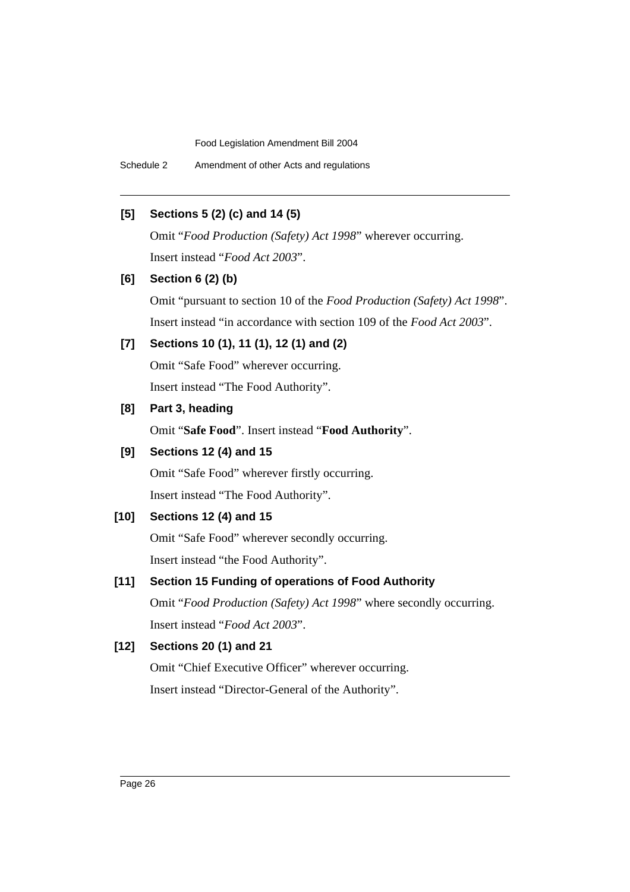Schedule 2 Amendment of other Acts and regulations

### **[5] Sections 5 (2) (c) and 14 (5)**

Omit "*Food Production (Safety) Act 1998*" wherever occurring. Insert instead "*Food Act 2003*".

### **[6] Section 6 (2) (b)**

Omit "pursuant to section 10 of the *Food Production (Safety) Act 1998*". Insert instead "in accordance with section 109 of the *Food Act 2003*".

### **[7] Sections 10 (1), 11 (1), 12 (1) and (2)**

Omit "Safe Food" wherever occurring. Insert instead "The Food Authority".

### **[8] Part 3, heading**

Omit "**Safe Food**". Insert instead "**Food Authority**".

### **[9] Sections 12 (4) and 15**

Omit "Safe Food" wherever firstly occurring. Insert instead "The Food Authority".

### **[10] Sections 12 (4) and 15**

Omit "Safe Food" wherever secondly occurring. Insert instead "the Food Authority".

### **[11] Section 15 Funding of operations of Food Authority**

Omit "*Food Production (Safety) Act 1998*" where secondly occurring. Insert instead "*Food Act 2003*".

### **[12] Sections 20 (1) and 21**

Omit "Chief Executive Officer" wherever occurring. Insert instead "Director-General of the Authority".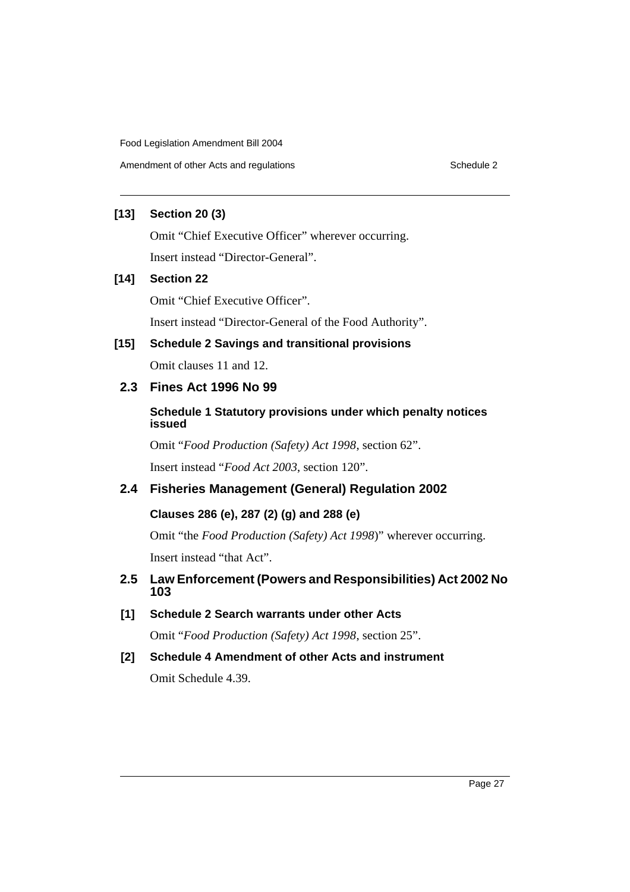### **[13] Section 20 (3)**

Omit "Chief Executive Officer" wherever occurring.

Insert instead "Director-General".

### **[14] Section 22**

Omit "Chief Executive Officer".

Insert instead "Director-General of the Food Authority".

### **[15] Schedule 2 Savings and transitional provisions**

Omit clauses 11 and 12.

### **2.3 Fines Act 1996 No 99**

### **Schedule 1 Statutory provisions under which penalty notices issued**

Omit "*Food Production (Safety) Act 1998*, section 62".

Insert instead "*Food Act 2003*, section 120".

### **2.4 Fisheries Management (General) Regulation 2002**

### **Clauses 286 (e), 287 (2) (g) and 288 (e)**

Omit "the *Food Production (Safety) Act 1998*)" wherever occurring. Insert instead "that Act".

### **2.5 Law Enforcement (Powers and Responsibilities) Act 2002 No 103**

**[1] Schedule 2 Search warrants under other Acts**

Omit "*Food Production (Safety) Act 1998*, section 25".

**[2] Schedule 4 Amendment of other Acts and instrument**

Omit Schedule 4.39.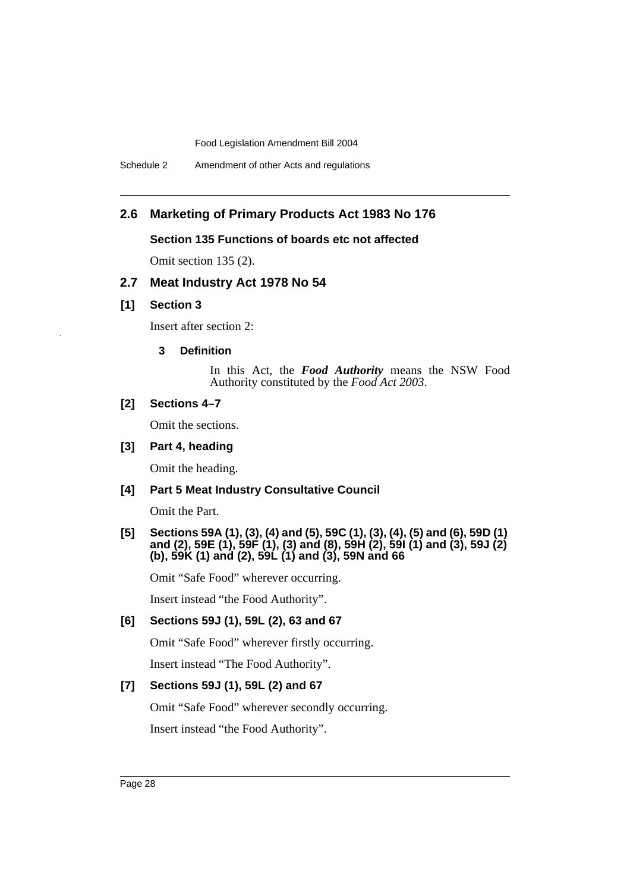### **2.6 Marketing of Primary Products Act 1983 No 176**

#### **Section 135 Functions of boards etc not affected**

Omit section 135 (2).

### **2.7 Meat Industry Act 1978 No 54**

#### **[1] Section 3**

Insert after section 2:

#### **3 Definition**

In this Act, the *Food Authority* means the NSW Food Authority constituted by the *Food Act 2003*.

#### **[2] Sections 4–7**

Omit the sections.

### **[3] Part 4, heading**

Omit the heading.

### **[4] Part 5 Meat Industry Consultative Council**

Omit the Part.

#### **[5] Sections 59A (1), (3), (4) and (5), 59C (1), (3), (4), (5) and (6), 59D (1) and (2), 59E (1), 59F (1), (3) and (8), 59H (2), 59I (1) and (3), 59J (2) (b), 59K (1) and (2), 59L (1) and (3), 59N and 66**

Omit "Safe Food" wherever occurring.

Insert instead "the Food Authority".

#### **[6] Sections 59J (1), 59L (2), 63 and 67**

Omit "Safe Food" wherever firstly occurring.

Insert instead "The Food Authority".

### **[7] Sections 59J (1), 59L (2) and 67**

Omit "Safe Food" wherever secondly occurring.

Insert instead "the Food Authority".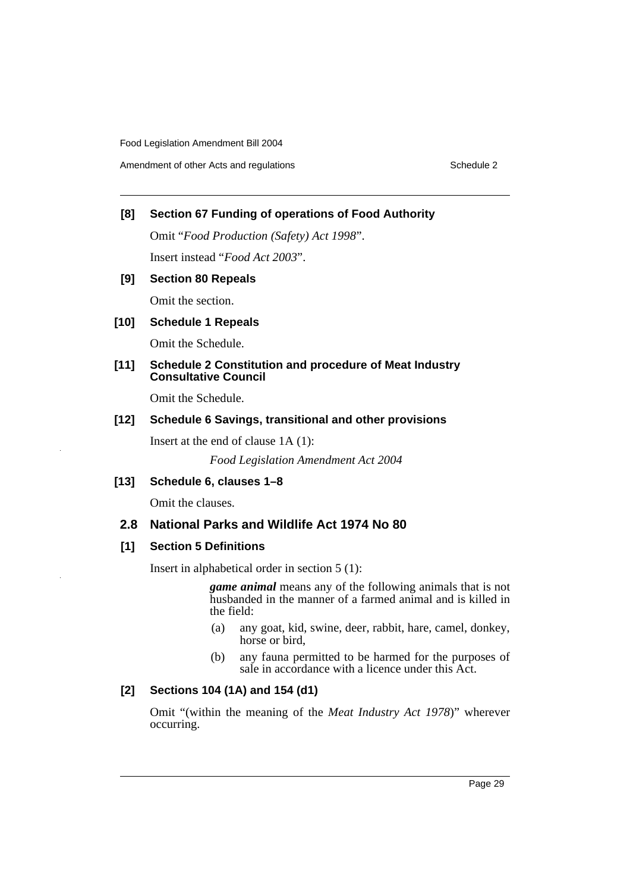### **[8] Section 67 Funding of operations of Food Authority**

Omit "*Food Production (Safety) Act 1998*".

Insert instead "*Food Act 2003*".

### **[9] Section 80 Repeals**

Omit the section.

### **[10] Schedule 1 Repeals**

Omit the Schedule.

### **[11] Schedule 2 Constitution and procedure of Meat Industry Consultative Council**

Omit the Schedule.

### **[12] Schedule 6 Savings, transitional and other provisions**

Insert at the end of clause 1A (1):

*Food Legislation Amendment Act 2004*

#### **[13] Schedule 6, clauses 1–8**

Omit the clauses.

### **2.8 National Parks and Wildlife Act 1974 No 80**

### **[1] Section 5 Definitions**

Insert in alphabetical order in section 5 (1):

*game animal* means any of the following animals that is not husbanded in the manner of a farmed animal and is killed in the field:

- (a) any goat, kid, swine, deer, rabbit, hare, camel, donkey, horse or bird,
- (b) any fauna permitted to be harmed for the purposes of sale in accordance with a licence under this Act.

### **[2] Sections 104 (1A) and 154 (d1)**

Omit "(within the meaning of the *Meat Industry Act 1978*)" wherever occurring.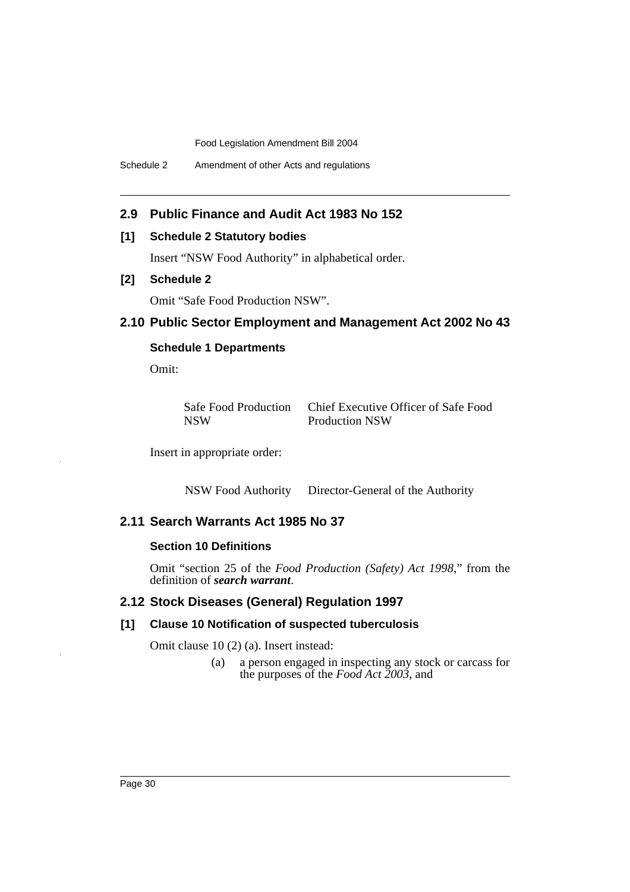### **2.9 Public Finance and Audit Act 1983 No 152**

#### **[1] Schedule 2 Statutory bodies**

Insert "NSW Food Authority" in alphabetical order.

### **[2] Schedule 2**

Omit "Safe Food Production NSW".

### **2.10 Public Sector Employment and Management Act 2002 No 43**

### **Schedule 1 Departments**

Omit:

| <b>Safe Food Production</b> | Chief Executive Officer of Safe Food |
|-----------------------------|--------------------------------------|
| NSW                         | <b>Production NSW</b>                |

Insert in appropriate order:

NSW Food Authority Director-General of the Authority

### **2.11 Search Warrants Act 1985 No 37**

### **Section 10 Definitions**

Omit "section 25 of the *Food Production (Safety) Act 1998*," from the definition of *search warrant*.

### **2.12 Stock Diseases (General) Regulation 1997**

#### **[1] Clause 10 Notification of suspected tuberculosis**

Omit clause 10 (2) (a). Insert instead:

(a) a person engaged in inspecting any stock or carcass for the purposes of the *Food Act 2003*, and